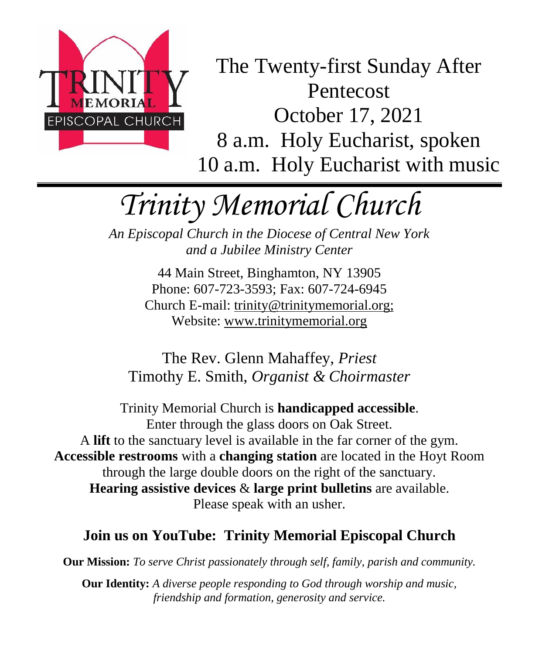

The Twenty-first Sunday After Pentecost October 17, 2021 8 a.m. Holy Eucharist, spoken 10 a.m. Holy Eucharist with music

# *Trinity Memorial Church*

*An Episcopal Church in the Diocese of Central New York and a Jubilee Ministry Center*

> 44 Main Street, Binghamton, NY 13905 Phone: 607-723-3593; Fax: 607-724-6945 Church E-mail: trinity@trinitymemorial.org; Website: www.trinitymemorial.org

The Rev. Glenn Mahaffey, *Priest* Timothy E. Smith, *Organist & Choirmaster* 

Trinity Memorial Church is **handicapped accessible**. Enter through the glass doors on Oak Street. A **lift** to the sanctuary level is available in the far corner of the gym. **Accessible restrooms** with a **changing station** are located in the Hoyt Room through the large double doors on the right of the sanctuary. **Hearing assistive devices** & **large print bulletins** are available. Please speak with an usher.

#### **Join us on YouTube: Trinity Memorial Episcopal Church**

**Our Mission:** *To serve Christ passionately through self, family, parish and community.*

**Our Identity:** *A diverse people responding to God through worship and music, friendship and formation, generosity and service.*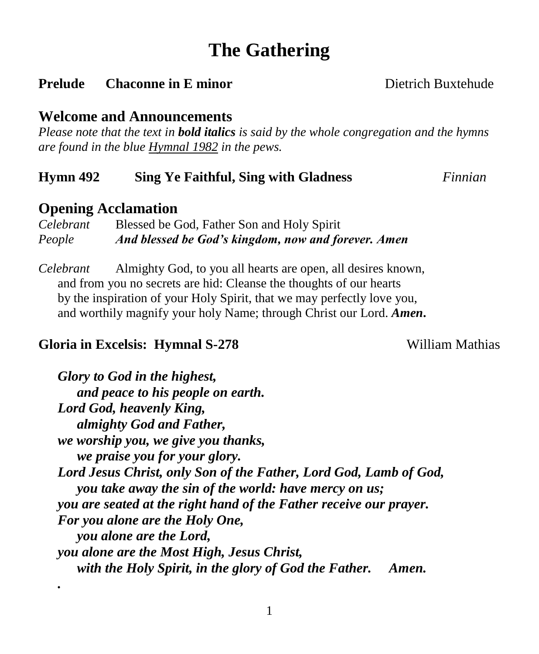### **The Gathering**

#### **Prelude** Chaconne in Eminor **Dietrich Buxtehude**

#### **Welcome and Announcements**

*Please note that the text in bold italics is said by the whole congregation and the hymns are found in the blue Hymnal 1982 in the pews.*

#### **Hymn 492 Sing Ye Faithful, Sing with Gladness** *Finnian*

#### **Opening Acclamation**

*Celebrant* Blessed be God, Father Son and Holy Spirit *People And blessed be God's kingdom, now and forever. Amen*

*Celebrant* Almighty God, to you all hearts are open, all desires known, and from you no secrets are hid: Cleanse the thoughts of our hearts by the inspiration of your Holy Spirit, that we may perfectly love you, and worthily magnify your holy Name; through Christ our Lord. *Amen***.**

#### **Gloria in Excelsis: Hymnal S-278** William Mathias

*.*

*Glory to God in the highest, and peace to his people on earth. Lord God, heavenly King, almighty God and Father, we worship you, we give you thanks, we praise you for your glory. Lord Jesus Christ, only Son of the Father, Lord God, Lamb of God, you take away the sin of the world: have mercy on us; you are seated at the right hand of the Father receive our prayer. For you alone are the Holy One, you alone are the Lord, you alone are the Most High, Jesus Christ, with the Holy Spirit, in the glory of God the Father. Amen.*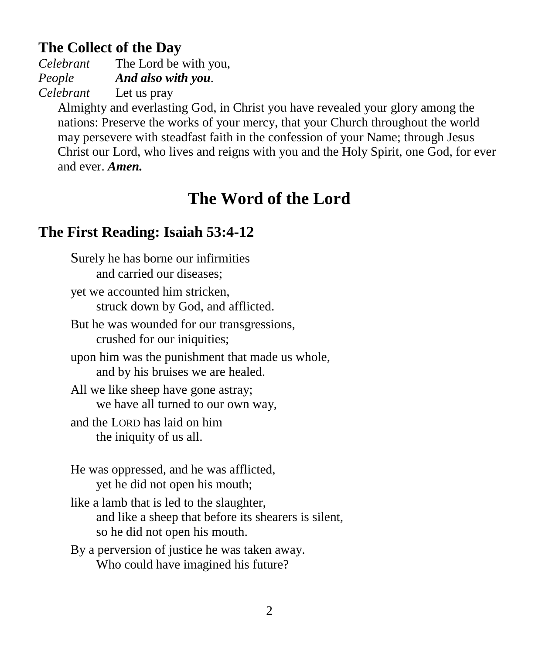#### **The Collect of the Day**

*Celebrant* The Lord be with you, *People And also with you. Celebrant* Let us pray

Almighty and everlasting God, in Christ you have revealed your glory among the nations: Preserve the works of your mercy, that your Church throughout the world may persevere with steadfast faith in the confession of your Name; through Jesus Christ our Lord, who lives and reigns with you and the Holy Spirit, one God, for ever and ever. *Amen.*

### **The Word of the Lord**

### **The First Reading: Isaiah 53:4-12**

Surely he has borne our infirmities and carried our diseases; yet we accounted him stricken, struck down by God, and afflicted.

But he was wounded for our transgressions, crushed for our iniquities;

upon him was the punishment that made us whole, and by his bruises we are healed.

All we like sheep have gone astray; we have all turned to our own way,

and the LORD has laid on him the iniquity of us all.

He was oppressed, and he was afflicted, yet he did not open his mouth;

like a lamb that is led to the slaughter, and like a sheep that before its shearers is silent, so he did not open his mouth.

By a perversion of justice he was taken away. Who could have imagined his future?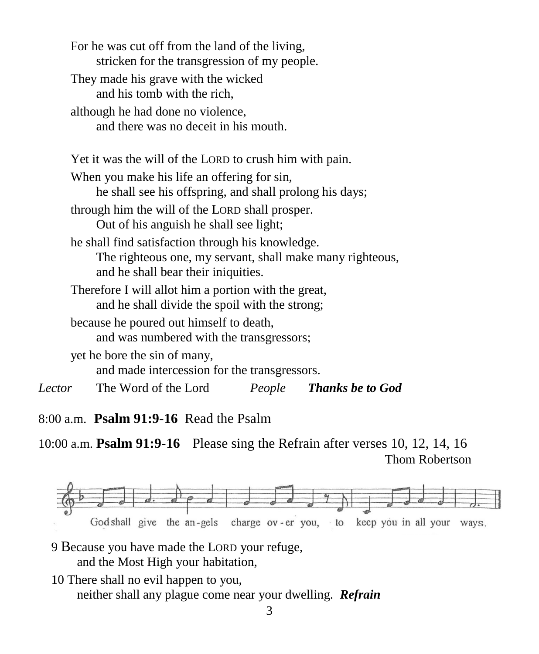|        | For he was cut off from the land of the living,<br>stricken for the transgression of my people.                                                       |                         |
|--------|-------------------------------------------------------------------------------------------------------------------------------------------------------|-------------------------|
|        | They made his grave with the wicked<br>and his tomb with the rich,                                                                                    |                         |
|        | although he had done no violence,<br>and there was no deceit in his mouth.                                                                            |                         |
|        | Yet it was the will of the LORD to crush him with pain.                                                                                               |                         |
|        | When you make his life an offering for sin,<br>he shall see his offspring, and shall prolong his days;                                                |                         |
|        | through him the will of the LORD shall prosper.<br>Out of his anguish he shall see light;                                                             |                         |
|        | he shall find satisfaction through his knowledge.<br>The righteous one, my servant, shall make many righteous,<br>and he shall bear their iniquities. |                         |
|        | Therefore I will allot him a portion with the great,<br>and he shall divide the spoil with the strong;                                                |                         |
|        | because he poured out himself to death,<br>and was numbered with the transgressors;                                                                   |                         |
|        | yet he bore the sin of many,<br>and made intercession for the transgressors.                                                                          |                         |
| Lector | The Word of the Lord                                                                                                                                  | People Thanks be to God |

8:00 a.m. **Psalm 91:9-16** Read the Psalm

10:00 a.m. **Psalm 91:9-16** Please sing the Refrain after verses 10, 12, 14, 16 Thom Robertson



- 9 Because you have made the LORD your refuge, and the Most High your habitation,
- 10 There shall no evil happen to you, neither shall any plague come near your dwelling. *Refrain*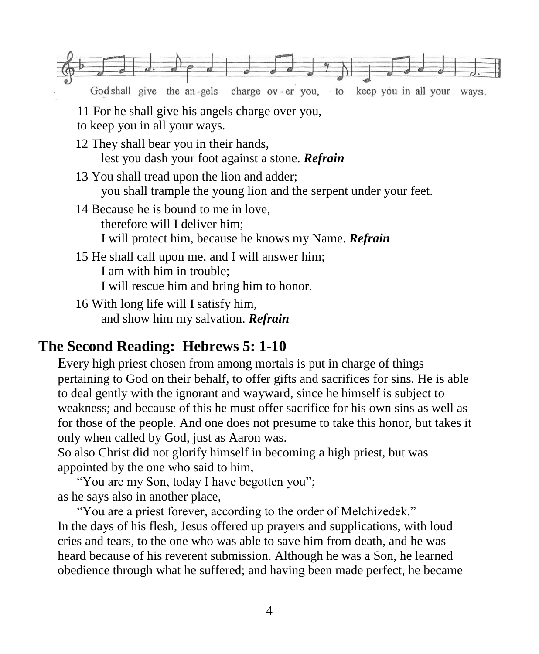

Every high priest chosen from among mortals is put in charge of things pertaining to God on their behalf, to offer gifts and sacrifices for sins. He is able to deal gently with the ignorant and wayward, since he himself is subject to weakness; and because of this he must offer sacrifice for his own sins as well as for those of the people. And one does not presume to take this honor, but takes it only when called by God, just as Aaron was.

So also Christ did not glorify himself in becoming a high priest, but was appointed by the one who said to him,

"You are my Son, today I have begotten you"; as he says also in another place,

"You are a priest forever, according to the order of Melchizedek." In the days of his flesh, Jesus offered up prayers and supplications, with loud cries and tears, to the one who was able to save him from death, and he was heard because of his reverent submission. Although he was a Son, he learned obedience through what he suffered; and having been made perfect, he became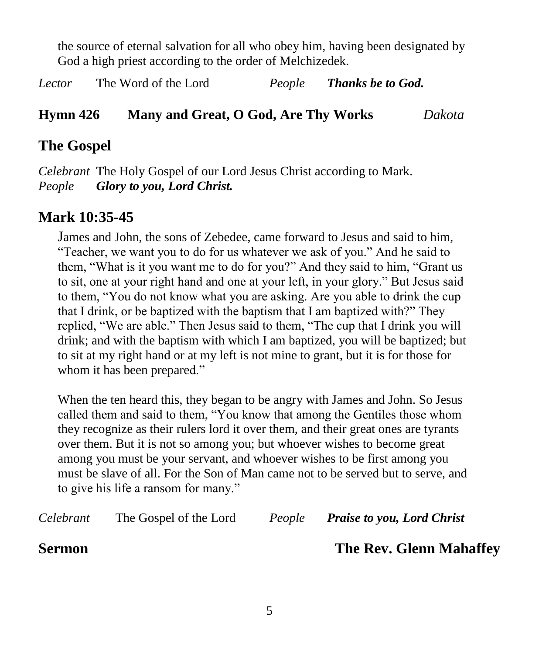the source of eternal salvation for all who obey him, having been designated by God a high priest according to the order of Melchizedek.

*Lector* The Word of the Lord *People Thanks be to God.*

#### **Hymn 426 Many and Great, O God, Are Thy Works** *Dakota*

#### **The Gospel**

*Celebrant* The Holy Gospel of our Lord Jesus Christ according to Mark. *People Glory to you, Lord Christ.*

#### **Mark 10:35-45**

James and John, the sons of Zebedee, came forward to Jesus and said to him, "Teacher, we want you to do for us whatever we ask of you." And he said to them, "What is it you want me to do for you?" And they said to him, "Grant us to sit, one at your right hand and one at your left, in your glory." But Jesus said to them, "You do not know what you are asking. Are you able to drink the cup that I drink, or be baptized with the baptism that I am baptized with?" They replied, "We are able." Then Jesus said to them, "The cup that I drink you will drink; and with the baptism with which I am baptized, you will be baptized; but to sit at my right hand or at my left is not mine to grant, but it is for those for whom it has been prepared."

When the ten heard this, they began to be angry with James and John. So Jesus called them and said to them, "You know that among the Gentiles those whom they recognize as their rulers lord it over them, and their great ones are tyrants over them. But it is not so among you; but whoever wishes to become great among you must be your servant, and whoever wishes to be first among you must be slave of all. For the Son of Man came not to be served but to serve, and to give his life a ransom for many."

| Celebrant     | The Gospel of the Lord | People | <b>Praise to you, Lord Christ</b> |
|---------------|------------------------|--------|-----------------------------------|
| <b>Sermon</b> |                        |        | The Rev. Glenn Mahaffey           |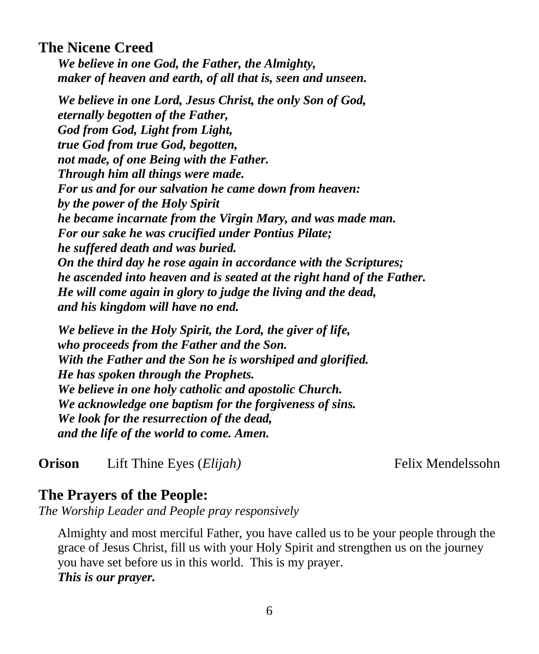#### **The Nicene Creed**

*We believe in one God, the Father, the Almighty, maker of heaven and earth, of all that is, seen and unseen.*

*We believe in one Lord, Jesus Christ, the only Son of God, eternally begotten of the Father, God from God, Light from Light, true God from true God, begotten, not made, of one Being with the Father. Through him all things were made. For us and for our salvation he came down from heaven: by the power of the Holy Spirit he became incarnate from the Virgin Mary, and was made man. For our sake he was crucified under Pontius Pilate; he suffered death and was buried. On the third day he rose again in accordance with the Scriptures; he ascended into heaven and is seated at the right hand of the Father. He will come again in glory to judge the living and the dead, and his kingdom will have no end.*

*We believe in the Holy Spirit, the Lord, the giver of life, who proceeds from the Father and the Son. With the Father and the Son he is worshiped and glorified. He has spoken through the Prophets. We believe in one holy catholic and apostolic Church. We acknowledge one baptism for the forgiveness of sins. We look for the resurrection of the dead, and the life of the world to come. Amen.*

**Orison** Lift Thine Eyes (*Elijah*) Felix Mendelssohn

#### **The Prayers of the People:**

*The Worship Leader and People pray responsively*

Almighty and most merciful Father, you have called us to be your people through the grace of Jesus Christ, fill us with your Holy Spirit and strengthen us on the journey you have set before us in this world. This is my prayer. *This is our prayer.*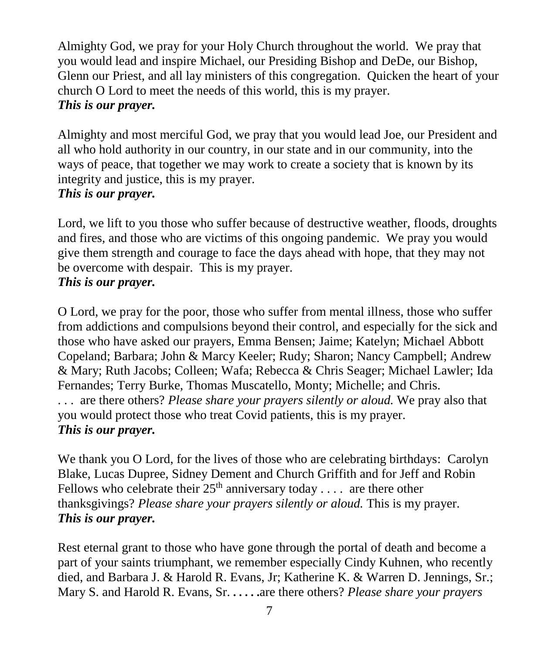Almighty God, we pray for your Holy Church throughout the world. We pray that you would lead and inspire Michael, our Presiding Bishop and DeDe, our Bishop, Glenn our Priest, and all lay ministers of this congregation. Quicken the heart of your church O Lord to meet the needs of this world, this is my prayer.

#### *This is our prayer.*

Almighty and most merciful God, we pray that you would lead Joe, our President and all who hold authority in our country, in our state and in our community, into the ways of peace, that together we may work to create a society that is known by its integrity and justice, this is my prayer.

#### *This is our prayer.*

Lord, we lift to you those who suffer because of destructive weather, floods, droughts and fires, and those who are victims of this ongoing pandemic. We pray you would give them strength and courage to face the days ahead with hope, that they may not be overcome with despair. This is my prayer. *This is our prayer.*

O Lord, we pray for the poor, those who suffer from mental illness, those who suffer from addictions and compulsions beyond their control, and especially for the sick and those who have asked our prayers, Emma Bensen; Jaime; Katelyn; Michael Abbott Copeland; Barbara; John & Marcy Keeler; Rudy; Sharon; Nancy Campbell; Andrew & Mary; Ruth Jacobs; Colleen; Wafa; Rebecca & Chris Seager; Michael Lawler; Ida Fernandes; Terry Burke, Thomas Muscatello, Monty; Michelle; and Chris. . . . are there others? *Please share your prayers silently or aloud.* We pray also that you would protect those who treat Covid patients, this is my prayer. *This is our prayer.* 

We thank you O Lord, for the lives of those who are celebrating birthdays: Carolyn Blake, Lucas Dupree, Sidney Dement and Church Griffith and for Jeff and Robin Fellows who celebrate their  $25<sup>th</sup>$  anniversary today .... are there other thanksgivings? *Please share your prayers silently or aloud.* This is my prayer. *This is our prayer.* 

Rest eternal grant to those who have gone through the portal of death and become a part of your saints triumphant, we remember especially Cindy Kuhnen, who recently died, and Barbara J. & Harold R. Evans, Jr; Katherine K. & Warren D. Jennings, Sr.; Mary S. and Harold R. Evans, Sr. **. . . . .**are there others? *Please share your prayers*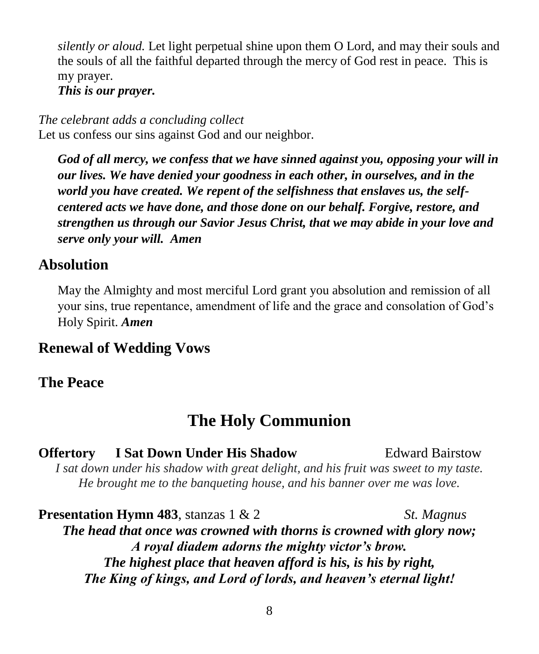*silently or aloud.* Let light perpetual shine upon them O Lord, and may their souls and the souls of all the faithful departed through the mercy of God rest in peace. This is my prayer. *This is our prayer.* 

*The celebrant adds a concluding collect*  Let us confess our sins against God and our neighbor.

*God of all mercy, we confess that we have sinned against you, opposing your will in our lives. We have denied your goodness in each other, in ourselves, and in the world you have created. We repent of the selfishness that enslaves us, the selfcentered acts we have done, and those done on our behalf. Forgive, restore, and strengthen us through our Savior Jesus Christ, that we may abide in your love and serve only your will. Amen*

#### **Absolution**

May the Almighty and most merciful Lord grant you absolution and remission of all your sins, true repentance, amendment of life and the grace and consolation of God's Holy Spirit. *Amen*

#### **Renewal of Wedding Vows**

#### **The Peace**

### **The Holy Communion**

**Offertory I Sat Down Under His Shadow** Edward Bairstow *I sat down under his shadow with great delight, and his fruit was sweet to my taste. He brought me to the banqueting house, and his banner over me was love.*

**Presentation Hymn 483**, stanzas 1 & 2 *St. Magnus The head that once was crowned with thorns is crowned with glory now; A royal diadem adorns the mighty victor's brow. The highest place that heaven afford is his, is his by right, The King of kings, and Lord of lords, and heaven's eternal light!*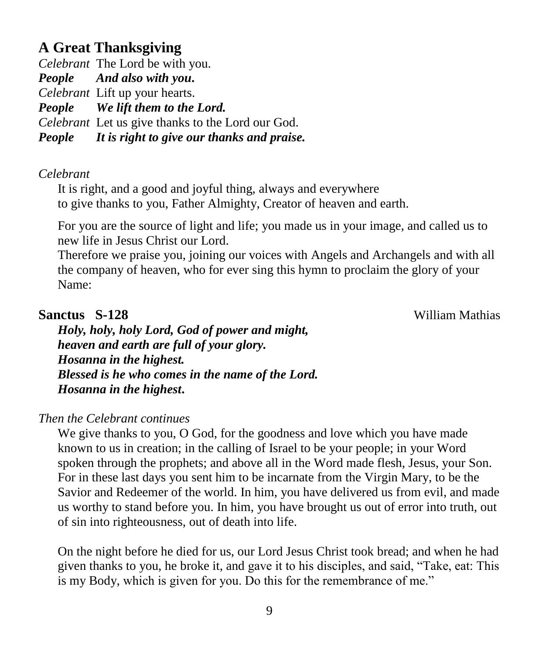#### **A Great Thanksgiving**

*Celebrant* The Lord be with you.

*People And also with you***.**

*Celebrant* Lift up your hearts.

*People We lift them to the Lord.*

*Celebrant* Let us give thanks to the Lord our God.

*People It is right to give our thanks and praise.*

#### *Celebrant*

It is right, and a good and joyful thing, always and everywhere to give thanks to you, Father Almighty, Creator of heaven and earth.

For you are the source of light and life; you made us in your image, and called us to new life in Jesus Christ our Lord.

Therefore we praise you, joining our voices with Angels and Archangels and with all the company of heaven, who for ever sing this hymn to proclaim the glory of your Name:

#### **Sanctus S-128** William Mathias

*Holy, holy, holy Lord, God of power and might, heaven and earth are full of your glory. Hosanna in the highest. Blessed is he who comes in the name of the Lord. Hosanna in the highest***.** 

#### *Then the Celebrant continues*

We give thanks to you, O God, for the goodness and love which you have made known to us in creation; in the calling of Israel to be your people; in your Word spoken through the prophets; and above all in the Word made flesh, Jesus, your Son. For in these last days you sent him to be incarnate from the Virgin Mary, to be the Savior and Redeemer of the world. In him, you have delivered us from evil, and made us worthy to stand before you. In him, you have brought us out of error into truth, out of sin into righteousness, out of death into life.

On the night before he died for us, our Lord Jesus Christ took bread; and when he had given thanks to you, he broke it, and gave it to his disciples, and said, "Take, eat: This is my Body, which is given for you. Do this for the remembrance of me."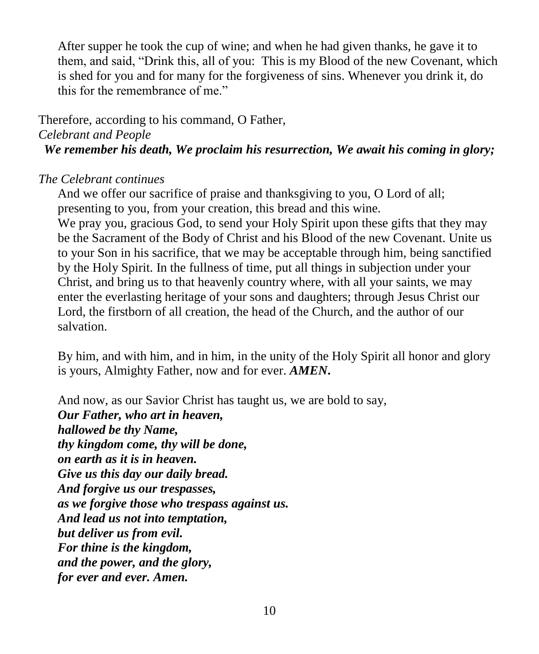After supper he took the cup of wine; and when he had given thanks, he gave it to them, and said, "Drink this, all of you: This is my Blood of the new Covenant, which is shed for you and for many for the forgiveness of sins. Whenever you drink it, do this for the remembrance of me."

Therefore, according to his command, O Father, *Celebrant and People We remember his death, We proclaim his resurrection, We await his coming in glory;*

#### *The Celebrant continues*

And we offer our sacrifice of praise and thanksgiving to you, O Lord of all; presenting to you, from your creation, this bread and this wine. We pray you, gracious God, to send your Holy Spirit upon these gifts that they may be the Sacrament of the Body of Christ and his Blood of the new Covenant. Unite us to your Son in his sacrifice, that we may be acceptable through him, being sanctified by the Holy Spirit. In the fullness of time, put all things in subjection under your Christ, and bring us to that heavenly country where, with all your saints, we may enter the everlasting heritage of your sons and daughters; through Jesus Christ our Lord, the firstborn of all creation, the head of the Church, and the author of our salvation.

By him, and with him, and in him, in the unity of the Holy Spirit all honor and glory is yours, Almighty Father, now and for ever. *AMEN***.**

And now, as our Savior Christ has taught us, we are bold to say, *Our Father, who art in heaven, hallowed be thy Name, thy kingdom come, thy will be done, on earth as it is in heaven. Give us this day our daily bread. And forgive us our trespasses, as we forgive those who trespass against us. And lead us not into temptation, but deliver us from evil. For thine is the kingdom, and the power, and the glory, for ever and ever. Amen.*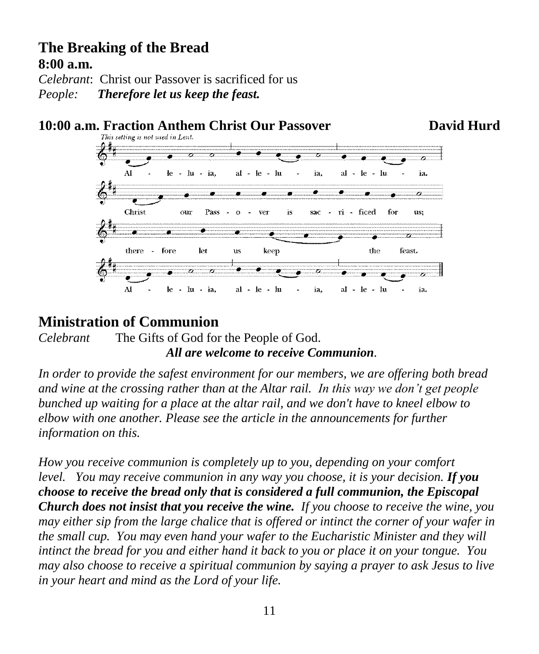### **The Breaking of the Bread**

#### **8:00 a.m.**

*Celebrant*: Christ our Passover is sacrificed for us *People: Therefore let us keep the feast.*

### **10:00 a.m. Fraction Anthem Christ Our Passover David Hurd** *Passover David Hurd*



#### **Ministration of Communion**

*Celebrant* The Gifts of God for the People of God. *All are welcome to receive Communion.*

*In order to provide the safest environment for our members, we are offering both bread and wine at the crossing rather than at the Altar rail. In this way we don't get people bunched up waiting for a place at the altar rail, and we don't have to kneel elbow to elbow with one another. Please see the article in the announcements for further information on this.*

*How you receive communion is completely up to you, depending on your comfort level. You may receive communion in any way you choose, it is your decision. If you choose to receive the bread only that is considered a full communion, the Episcopal Church does not insist that you receive the wine. If you choose to receive the wine, you may either sip from the large chalice that is offered or intinct the corner of your wafer in the small cup. You may even hand your wafer to the Eucharistic Minister and they will intinct the bread for you and either hand it back to you or place it on your tongue. You may also choose to receive a spiritual communion by saying a prayer to ask Jesus to live in your heart and mind as the Lord of your life.*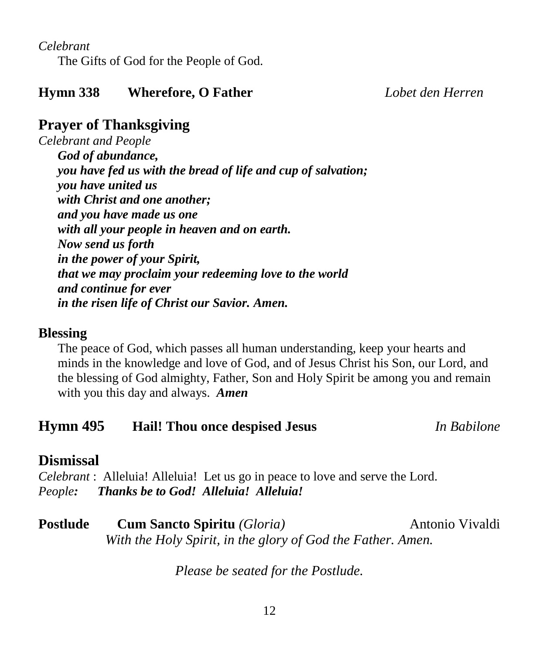#### *Celebrant*

The Gifts of God for the People of God.

#### **Hymn 338 Wherefore, O Father** *Lobet den Herren*

#### **Prayer of Thanksgiving**

*Celebrant and People God of abundance, you have fed us with the bread of life and cup of salvation; you have united us with Christ and one another; and you have made us one with all your people in heaven and on earth. Now send us forth in the power of your Spirit, that we may proclaim your redeeming love to the world and continue for ever in the risen life of Christ our Savior. Amen.*

#### **Blessing**

The peace of God, which passes all human understanding, keep your hearts and minds in the knowledge and love of God, and of Jesus Christ his Son, our Lord, and the blessing of God almighty, Father, Son and Holy Spirit be among you and remain with you this day and always. *Amen*

#### **Hymn 495 Hail! Thou once despised Jesus** *In Babilone*

#### **Dismissal**

*Celebrant* : Alleluia! Alleluia! Let us go in peace to love and serve the Lord. *People: Thanks be to God! Alleluia! Alleluia!*

**Postlude Cum Sancto Spiritu** *(Gloria)* Antonio Vivaldi *With the Holy Spirit, in the glory of God the Father. Amen.*

*Please be seated for the Postlude.*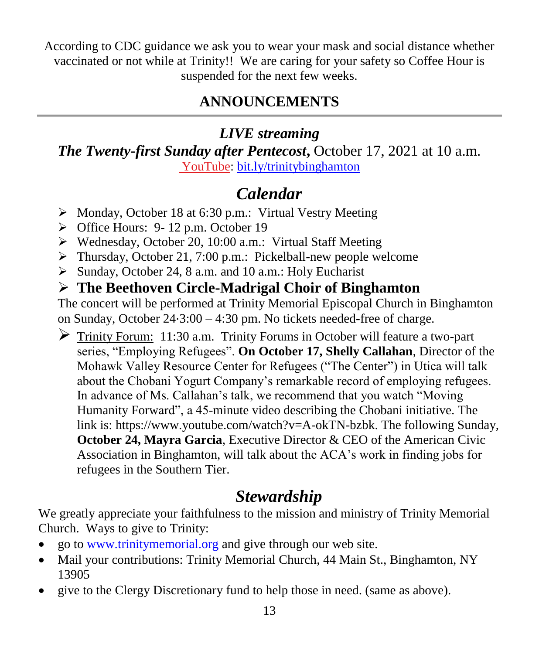According to CDC guidance we ask you to wear your mask and social distance whether vaccinated or not while at Trinity!! We are caring for your safety so Coffee Hour is suspended for the next few weeks.

### **ANNOUNCEMENTS**

### *LIVE streaming*

*The Twenty-first Sunday after Pentecost***,** October 17, 2021 at 10 a.m. [YouTube:](https://bit.ly/trinitybinghamton) [bit.ly/trinitybinghamton](https://bit.ly/trinitybinghamton)

### *Calendar*

- ➢ Monday, October 18 at 6:30 p.m.: Virtual Vestry Meeting
- ➢ Office Hours: 9- 12 p.m. October 19
- ➢ Wednesday, October 20, 10:00 a.m.: Virtual Staff Meeting
- ➢ Thursday, October 21, 7:00 p.m.: Pickelball-new people welcome
- ➢ Sunday, October 24, 8 a.m. and 10 a.m.: Holy Eucharist

#### ➢ **The Beethoven Circle-Madrigal Choir of Binghamton**

The concert will be performed at Trinity Memorial Episcopal Church in Binghamton on Sunday, October 24⋅3:00 – 4:30 pm. No tickets needed-free of charge.

➢ Trinity Forum: 11:30 a.m. Trinity Forums in October will feature a two-part series, "Employing Refugees". **On October 17, Shelly Callahan**, Director of the Mohawk Valley Resource Center for Refugees ("The Center") in Utica will talk about the Chobani Yogurt Company's remarkable record of employing refugees. In advance of Ms. Callahan's talk, we recommend that you watch "Moving Humanity Forward", a 45-minute video describing the Chobani initiative. The link is: https://www.youtube.com/watch?v=A-okTN-bzbk. The following Sunday, **October 24, Mayra Garcia**, Executive Director & CEO of the American Civic Association in Binghamton, will talk about the ACA's work in finding jobs for refugees in the Southern Tier.

### *Stewardship*

We greatly appreciate your faithfulness to the mission and ministry of Trinity Memorial Church. Ways to give to Trinity:

- go to [www.trinitymemorial.org](http://www.trinitymemorial.org/) and give through our web site.
- Mail your contributions: Trinity Memorial Church, 44 Main St., Binghamton, NY 13905
- give to the Clergy Discretionary fund to help those in need. (same as above).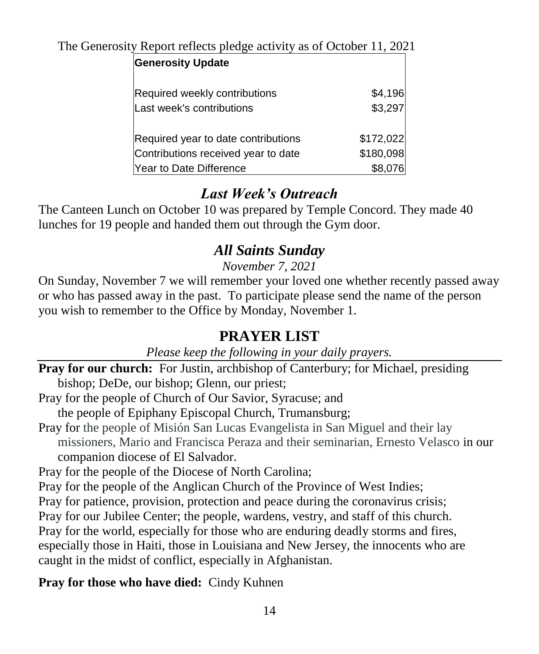| The Generosity Report reflects pledge activity as of October 11, 2021 |           |  |
|-----------------------------------------------------------------------|-----------|--|
| <b>Generosity Update</b>                                              |           |  |
| Required weekly contributions                                         | \$4,196   |  |
| Last week's contributions                                             | \$3,297   |  |
| Required year to date contributions                                   | \$172,022 |  |
| Contributions received year to date                                   | \$180,098 |  |
| Year to Date Difference                                               | \$8,076   |  |

## *Last Week's Outreach*

The Canteen Lunch on October 10 was prepared by Temple Concord. They made 40 lunches for 19 people and handed them out through the Gym door.

#### *All Saints Sunday*

#### *November 7, 2021*

On Sunday, November 7 we will remember your loved one whether recently passed away or who has passed away in the past. To participate please send the name of the person you wish to remember to the Office by Monday, November 1.

#### **PRAYER LIST**

*Please keep the following in your daily prayers.*

**Pray for our church:** For Justin, archbishop of Canterbury; for Michael, presiding bishop; DeDe, our bishop; Glenn, our priest;

Pray for the people of Church of Our Savior, Syracuse; and

the people of Epiphany Episcopal Church, Trumansburg;

Pray for the people of Misión San Lucas Evangelista in San Miguel and their lay missioners, Mario and Francisca Peraza and their seminarian, Ernesto Velasco in our companion diocese of El Salvador.

Pray for the people of the Diocese of North Carolina;

Pray for the people of the Anglican Church of the Province of West Indies;

Pray for patience, provision, protection and peace during the coronavirus crisis;

Pray for our Jubilee Center; the people, wardens, vestry, and staff of this church.

Pray for the world, especially for those who are enduring deadly storms and fires,

especially those in Haiti, those in Louisiana and New Jersey, the innocents who are caught in the midst of conflict, especially in Afghanistan.

#### **Pray for those who have died:** Cindy Kuhnen